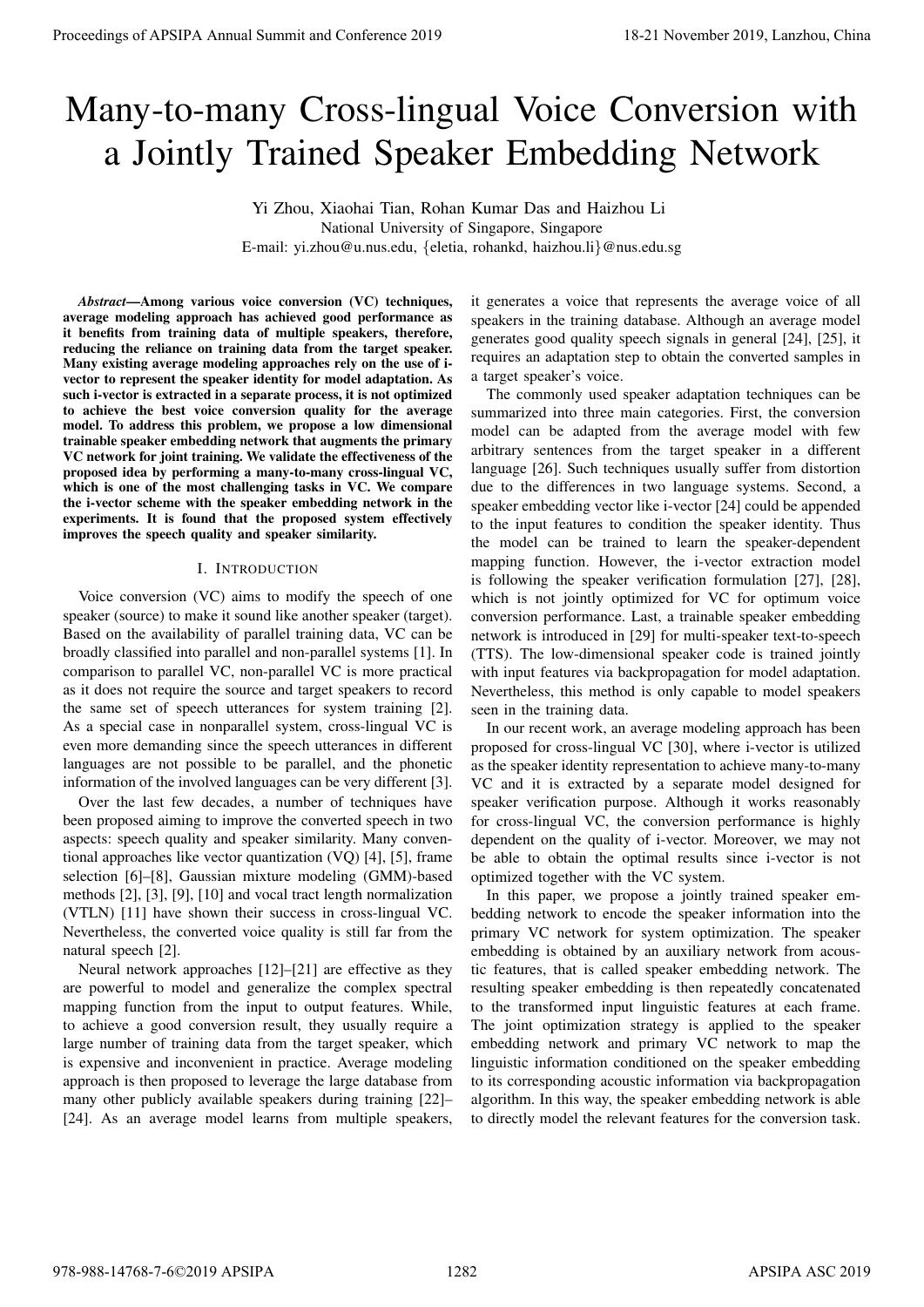# Many-to-many Cross-lingual Voice Conversion with a Jointly Trained Speaker Embedding Network

Yi Zhou, Xiaohai Tian, Rohan Kumar Das and Haizhou Li National University of Singapore, Singapore E-mail: yi.zhou@u.nus.edu, {eletia, rohankd, haizhou.li}@nus.edu.sg

*Abstract*—Among various voice conversion (VC) techniques, average modeling approach has achieved good performance as it benefits from training data of multiple speakers, therefore, reducing the reliance on training data from the target speaker. Many existing average modeling approaches rely on the use of ivector to represent the speaker identity for model adaptation. As such i-vector is extracted in a separate process, it is not optimized to achieve the best voice conversion quality for the average model. To address this problem, we propose a low dimensional trainable speaker embedding network that augments the primary VC network for joint training. We validate the effectiveness of the proposed idea by performing a many-to-many cross-lingual VC, which is one of the most challenging tasks in VC. We compare the i-vector scheme with the speaker embedding network in the experiments. It is found that the proposed system effectively improves the speech quality and speaker similarity.

#### I. INTRODUCTION

Voice conversion (VC) aims to modify the speech of one speaker (source) to make it sound like another speaker (target). Based on the availability of parallel training data, VC can be broadly classified into parallel and non-parallel systems [1]. In comparison to parallel VC, non-parallel VC is more practical as it does not require the source and target speakers to record the same set of speech utterances for system training [2]. As a special case in nonparallel system, cross-lingual VC is even more demanding since the speech utterances in different languages are not possible to be parallel, and the phonetic information of the involved languages can be very different [3].

Over the last few decades, a number of techniques have been proposed aiming to improve the converted speech in two aspects: speech quality and speaker similarity. Many conventional approaches like vector quantization (VQ) [4], [5], frame selection [6]–[8], Gaussian mixture modeling (GMM)-based methods [2], [3], [9], [10] and vocal tract length normalization (VTLN) [11] have shown their success in cross-lingual VC. Nevertheless, the converted voice quality is still far from the natural speech [2].

Neural network approaches [12]–[21] are effective as they are powerful to model and generalize the complex spectral mapping function from the input to output features. While, to achieve a good conversion result, they usually require a large number of training data from the target speaker, which is expensive and inconvenient in practice. Average modeling approach is then proposed to leverage the large database from many other publicly available speakers during training [22]– [24]. As an average model learns from multiple speakers,

it generates a voice that represents the average voice of all speakers in the training database. Although an average model generates good quality speech signals in general [24], [25], it requires an adaptation step to obtain the converted samples in a target speaker's voice.

The commonly used speaker adaptation techniques can be summarized into three main categories. First, the conversion model can be adapted from the average model with few arbitrary sentences from the target speaker in a different language [26]. Such techniques usually suffer from distortion due to the differences in two language systems. Second, a speaker embedding vector like i-vector [24] could be appended to the input features to condition the speaker identity. Thus the model can be trained to learn the speaker-dependent mapping function. However, the i-vector extraction model is following the speaker verification formulation [27], [28], which is not jointly optimized for VC for optimum voice conversion performance. Last, a trainable speaker embedding network is introduced in [29] for multi-speaker text-to-speech (TTS). The low-dimensional speaker code is trained jointly with input features via backpropagation for model adaptation. Nevertheless, this method is only capable to model speakers seen in the training data. Proceeding of APSIPA Annual Summit at China 978-21 November 2019 18-21 November 2019 18-21 November 2019 18-21 November 2019 18-21 November 2019 18-21 November 2019 18-21 November 2019 18-21 November 2019 18-22 November 2

In our recent work, an average modeling approach has been proposed for cross-lingual VC [30], where i-vector is utilized as the speaker identity representation to achieve many-to-many VC and it is extracted by a separate model designed for speaker verification purpose. Although it works reasonably for cross-lingual VC, the conversion performance is highly dependent on the quality of i-vector. Moreover, we may not be able to obtain the optimal results since i-vector is not optimized together with the VC system.

In this paper, we propose a jointly trained speaker embedding network to encode the speaker information into the primary VC network for system optimization. The speaker embedding is obtained by an auxiliary network from acoustic features, that is called speaker embedding network. The resulting speaker embedding is then repeatedly concatenated to the transformed input linguistic features at each frame. The joint optimization strategy is applied to the speaker embedding network and primary VC network to map the linguistic information conditioned on the speaker embedding to its corresponding acoustic information via backpropagation algorithm. In this way, the speaker embedding network is able to directly model the relevant features for the conversion task.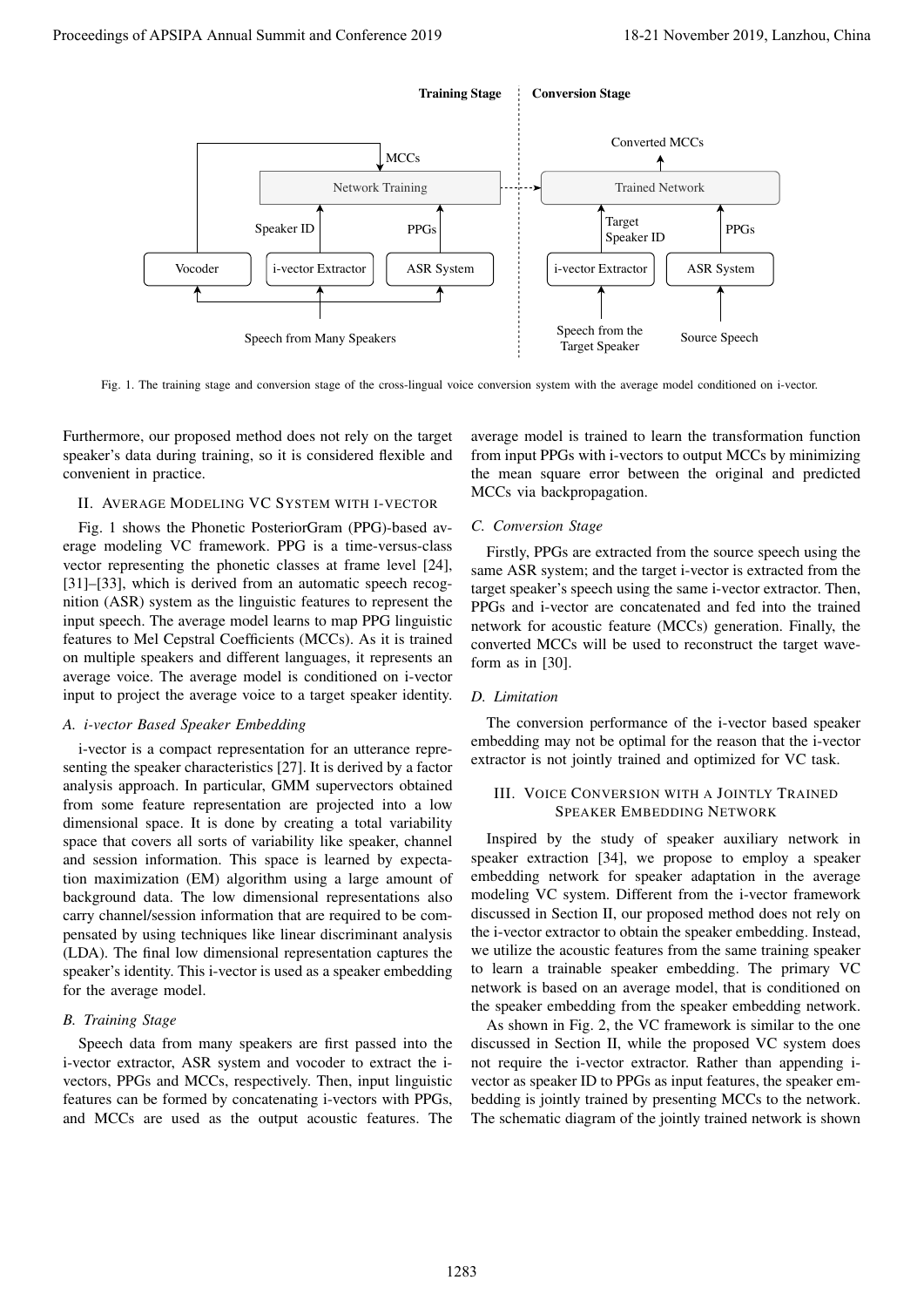

Fig. 1. The training stage and conversion stage of the cross-lingual voice conversion system with the average model conditioned on i-vector.

Furthermore, our proposed method does not rely on the target speaker's data during training, so it is considered flexible and convenient in practice.

## II. AVERAGE MODELING VC SYSTEM WITH I-VECTOR

Fig. 1 shows the Phonetic PosteriorGram (PPG)-based average modeling VC framework. PPG is a time-versus-class vector representing the phonetic classes at frame level [24], [31]–[33], which is derived from an automatic speech recognition (ASR) system as the linguistic features to represent the input speech. The average model learns to map PPG linguistic features to Mel Cepstral Coefficients (MCCs). As it is trained on multiple speakers and different languages, it represents an average voice. The average model is conditioned on i-vector input to project the average voice to a target speaker identity.

# *A. i-vector Based Speaker Embedding*

i-vector is a compact representation for an utterance representing the speaker characteristics [27]. It is derived by a factor analysis approach. In particular, GMM supervectors obtained from some feature representation are projected into a low dimensional space. It is done by creating a total variability space that covers all sorts of variability like speaker, channel and session information. This space is learned by expectation maximization (EM) algorithm using a large amount of background data. The low dimensional representations also carry channel/session information that are required to be compensated by using techniques like linear discriminant analysis (LDA). The final low dimensional representation captures the speaker's identity. This i-vector is used as a speaker embedding for the average model.

# *B. Training Stage*

Speech data from many speakers are first passed into the i-vector extractor, ASR system and vocoder to extract the ivectors, PPGs and MCCs, respectively. Then, input linguistic features can be formed by concatenating i-vectors with PPGs, and MCCs are used as the output acoustic features. The

average model is trained to learn the transformation function from input PPGs with i-vectors to output MCCs by minimizing the mean square error between the original and predicted MCCs via backpropagation.

# *C. Conversion Stage*

Firstly, PPGs are extracted from the source speech using the same ASR system; and the target i-vector is extracted from the target speaker's speech using the same i-vector extractor. Then, PPGs and i-vector are concatenated and fed into the trained network for acoustic feature (MCCs) generation. Finally, the converted MCCs will be used to reconstruct the target waveform as in [30].

# *D. Limitation*

The conversion performance of the i-vector based speaker embedding may not be optimal for the reason that the i-vector extractor is not jointly trained and optimized for VC task.

# III. VOICE CONVERSION WITH A JOINTLY TRAINED SPEAKER EMBEDDING NETWORK

Inspired by the study of speaker auxiliary network in speaker extraction [34], we propose to employ a speaker embedding network for speaker adaptation in the average modeling VC system. Different from the i-vector framework discussed in Section II, our proposed method does not rely on the i-vector extractor to obtain the speaker embedding. Instead, we utilize the acoustic features from the same training speaker to learn a trainable speaker embedding. The primary VC network is based on an average model, that is conditioned on the speaker embedding from the speaker embedding network.

As shown in Fig. 2, the VC framework is similar to the one discussed in Section II, while the proposed VC system does not require the i-vector extractor. Rather than appending ivector as speaker ID to PPGs as input features, the speaker embedding is jointly trained by presenting MCCs to the network. The schematic diagram of the jointly trained network is shown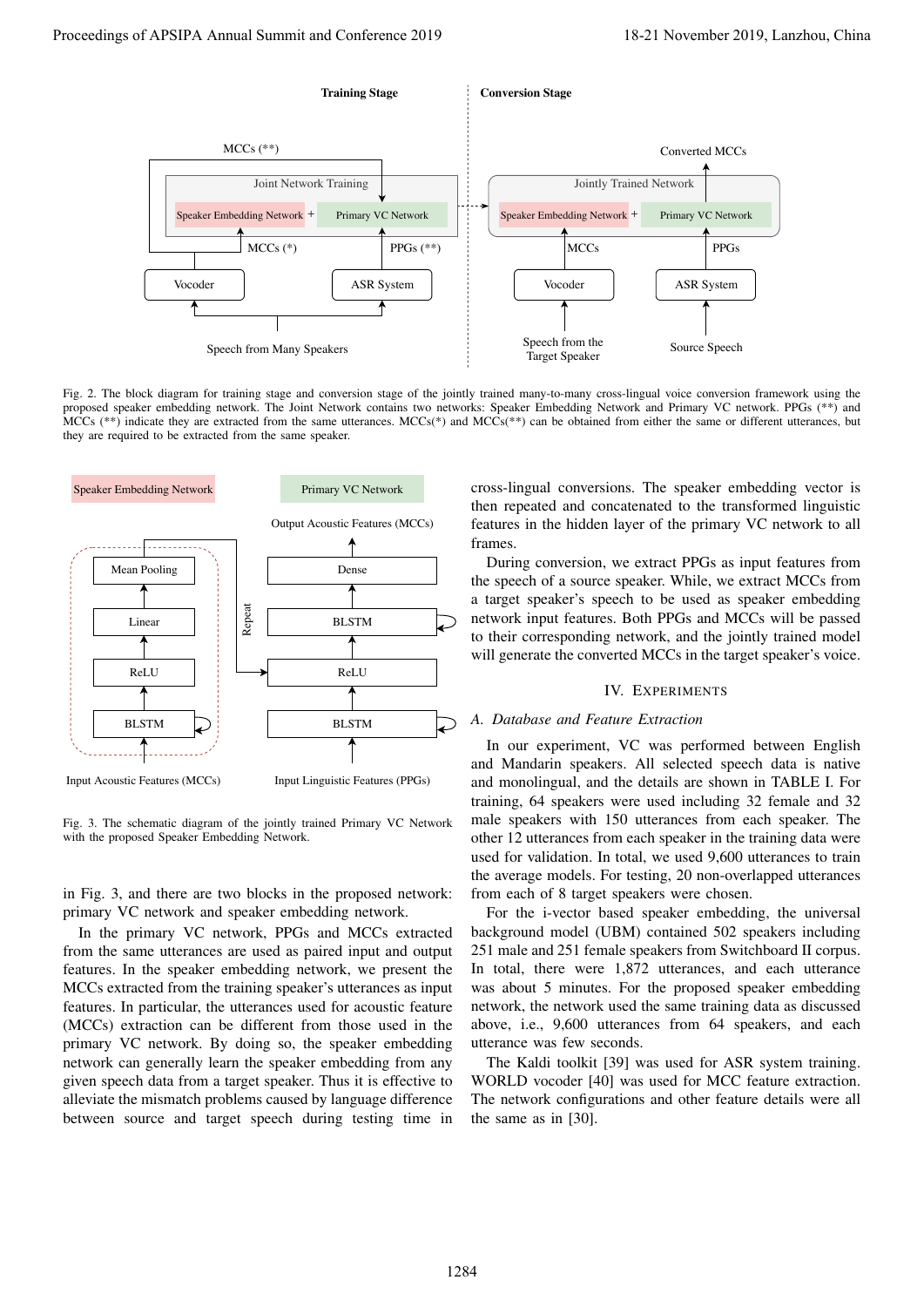

Fig. 2. The block diagram for training stage and conversion stage of the jointly trained many-to-many cross-lingual voice conversion framework using the proposed speaker embedding network. The Joint Network contains two networks: Speaker Embedding Network and Primary VC network. PPGs (\*\*) and MCCs (\*\*) indicate they are extracted from the same utterances. MCCs(\*) and MCCs(\*\*) can be obtained from either the same or different utterances, but they are required to be extracted from the same speaker.



Fig. 3. The schematic diagram of the jointly trained Primary VC Network with the proposed Speaker Embedding Network.

in Fig. 3, and there are two blocks in the proposed network: primary VC network and speaker embedding network.

In the primary VC network, PPGs and MCCs extracted from the same utterances are used as paired input and output features. In the speaker embedding network, we present the MCCs extracted from the training speaker's utterances as input features. In particular, the utterances used for acoustic feature (MCCs) extraction can be different from those used in the primary VC network. By doing so, the speaker embedding network can generally learn the speaker embedding from any given speech data from a target speaker. Thus it is effective to alleviate the mismatch problems caused by language difference between source and target speech during testing time in

cross-lingual conversions. The speaker embedding vector is then repeated and concatenated to the transformed linguistic features in the hidden layer of the primary VC network to all frames.

During conversion, we extract PPGs as input features from the speech of a source speaker. While, we extract MCCs from a target speaker's speech to be used as speaker embedding network input features. Both PPGs and MCCs will be passed to their corresponding network, and the jointly trained model will generate the converted MCCs in the target speaker's voice.

#### IV. EXPERIMENTS

#### *A. Database and Feature Extraction*

In our experiment, VC was performed between English and Mandarin speakers. All selected speech data is native and monolingual, and the details are shown in TABLE I. For training, 64 speakers were used including 32 female and 32 male speakers with 150 utterances from each speaker. The other 12 utterances from each speaker in the training data were used for validation. In total, we used 9,600 utterances to train the average models. For testing, 20 non-overlapped utterances from each of 8 target speakers were chosen.

For the i-vector based speaker embedding, the universal background model (UBM) contained 502 speakers including 251 male and 251 female speakers from Switchboard II corpus. In total, there were 1,872 utterances, and each utterance was about 5 minutes. For the proposed speaker embedding network, the network used the same training data as discussed above, i.e., 9,600 utterances from 64 speakers, and each utterance was few seconds.

The Kaldi toolkit [39] was used for ASR system training. WORLD vocoder [40] was used for MCC feature extraction. The network configurations and other feature details were all the same as in [30].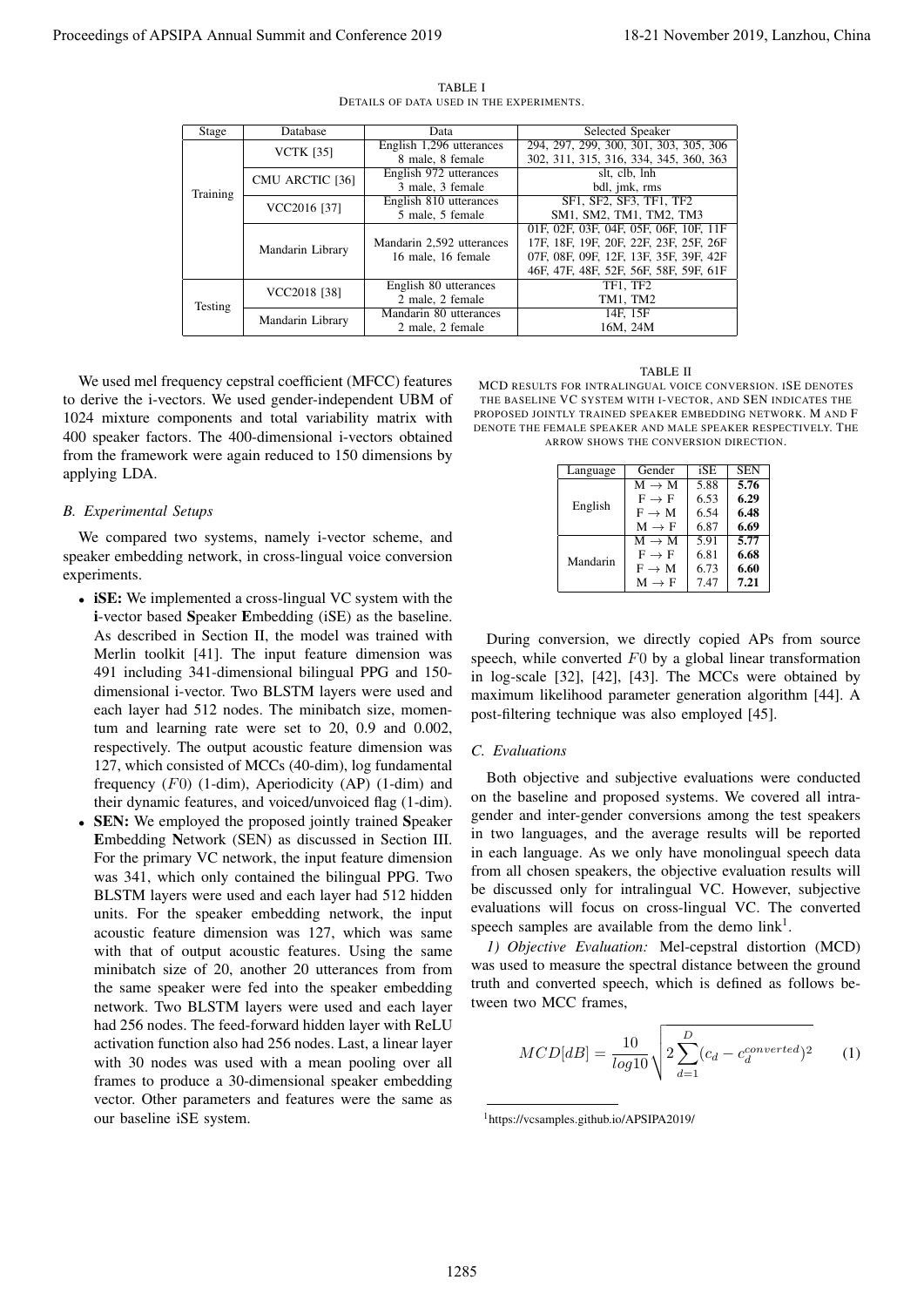| Stage    | Database         | Data                      | Selected Speaker                       |  |
|----------|------------------|---------------------------|----------------------------------------|--|
| Training | <b>VCTK</b> [35] | English 1,296 utterances  | 294, 297, 299, 300, 301, 303, 305, 306 |  |
|          |                  | 8 male, 8 female          | 302, 311, 315, 316, 334, 345, 360, 363 |  |
|          | CMU ARCTIC [36]  | English 972 utterances    | slt, clb, lnh                          |  |
|          |                  | 3 male, 3 female          | bdl, jmk, rms                          |  |
|          | VCC2016 [37]     | English 810 utterances    | SF1, SF2, SF3, TF1, TF2                |  |
|          |                  | 5 male, 5 female          | SM1, SM2, TM1, TM2, TM3                |  |
|          | Mandarin Library |                           | 01F, 02F, 03F, 04F, 05F, 06F, 10F, 11F |  |
|          |                  | Mandarin 2,592 utterances | 17F, 18F, 19F, 20F, 22F, 23F, 25F, 26F |  |
|          |                  | 16 male, 16 female        | 07F, 08F, 09F, 12F, 13F, 35F, 39F, 42F |  |
|          |                  |                           | 46F, 47F, 48F, 52F, 56F, 58F, 59F, 61F |  |
| Testing  | VCC2018 [38]     | English 80 utterances     | <b>TF1. TF2</b>                        |  |
|          |                  | 2 male, 2 female          | TM1, TM2                               |  |
|          | Mandarin Library | Mandarin 80 utterances    | 14F, 15F                               |  |
|          |                  | 2 male, 2 female          | 16M, 24M                               |  |

TABLE I DETAILS OF DATA USED IN THE EXPERIMENTS.

We used mel frequency cepstral coefficient (MFCC) features to derive the i-vectors. We used gender-independent UBM of 1024 mixture components and total variability matrix with 400 speaker factors. The 400-dimensional i-vectors obtained from the framework were again reduced to 150 dimensions by applying LDA.

## *B. Experimental Setups*

We compared two systems, namely i-vector scheme, and speaker embedding network, in cross-lingual voice conversion experiments.

- iSE: We implemented a cross-lingual VC system with the i-vector based Speaker Embedding (iSE) as the baseline. As described in Section II, the model was trained with Merlin toolkit [41]. The input feature dimension was 491 including 341-dimensional bilingual PPG and 150 dimensional i-vector. Two BLSTM layers were used and each layer had 512 nodes. The minibatch size, momentum and learning rate were set to 20, 0.9 and 0.002, respectively. The output acoustic feature dimension was 127, which consisted of MCCs (40-dim), log fundamental frequency  $(F0)$  (1-dim), Aperiodicity (AP) (1-dim) and their dynamic features, and voiced/unvoiced flag (1-dim).
- SEN: We employed the proposed jointly trained Speaker Embedding Network (SEN) as discussed in Section III. For the primary VC network, the input feature dimension was 341, which only contained the bilingual PPG. Two BLSTM layers were used and each layer had 512 hidden units. For the speaker embedding network, the input acoustic feature dimension was 127, which was same with that of output acoustic features. Using the same minibatch size of 20, another 20 utterances from from the same speaker were fed into the speaker embedding network. Two BLSTM layers were used and each layer had 256 nodes. The feed-forward hidden layer with ReLU activation function also had 256 nodes. Last, a linear layer with 30 nodes was used with a mean pooling over all frames to produce a 30-dimensional speaker embedding vector. Other parameters and features were the same as our baseline iSE system.

## TABLE II

MCD RESULTS FOR INTRALINGUAL VOICE CONVERSION. ISE DENOTES THE BASELINE VC SYSTEM WITH I-VECTOR, AND SEN INDICATES THE PROPOSED JOINTLY TRAINED SPEAKER EMBEDDING NETWORK. M AND F DENOTE THE FEMALE SPEAKER AND MALE SPEAKER RESPECTIVELY. THE ARROW SHOWS THE CONVERSION DIRECTION.

| Language | Gender            | iSE  | <b>SEN</b> |
|----------|-------------------|------|------------|
|          | $M \rightarrow M$ | 5.88 | 5.76       |
| English  | $F \rightarrow F$ | 6.53 | 6.29       |
|          | $F \to M$         | 6.54 | 6.48       |
|          | $M \rightarrow F$ | 6.87 | 6.69       |
|          | $M \rightarrow M$ | 5.91 | 5.77       |
| Mandarin | $F \rightarrow F$ | 6.81 | 6.68       |
|          | $F \rightarrow M$ | 6.73 | 6.60       |
|          | $M \rightarrow F$ | 7.47 | 7.21       |

During conversion, we directly copied APs from source speech, while converted  $F0$  by a global linear transformation in log-scale [32], [42], [43]. The MCCs were obtained by maximum likelihood parameter generation algorithm [44]. A post-filtering technique was also employed [45].

#### *C. Evaluations*

Both objective and subjective evaluations were conducted on the baseline and proposed systems. We covered all intragender and inter-gender conversions among the test speakers in two languages, and the average results will be reported in each language. As we only have monolingual speech data from all chosen speakers, the objective evaluation results will be discussed only for intralingual VC. However, subjective evaluations will focus on cross-lingual VC. The converted speech samples are available from the demo  $link<sup>1</sup>$ .

*1) Objective Evaluation:* Mel-cepstral distortion (MCD) was used to measure the spectral distance between the ground truth and converted speech, which is defined as follows between two MCC frames,

$$
MCD[dB] = \frac{10}{log 10} \sqrt{2 \sum_{d=1}^{D} (c_d - c_d^{converted})^2}
$$
 (1)

<sup>1</sup>https://vcsamples.github.io/APSIPA2019/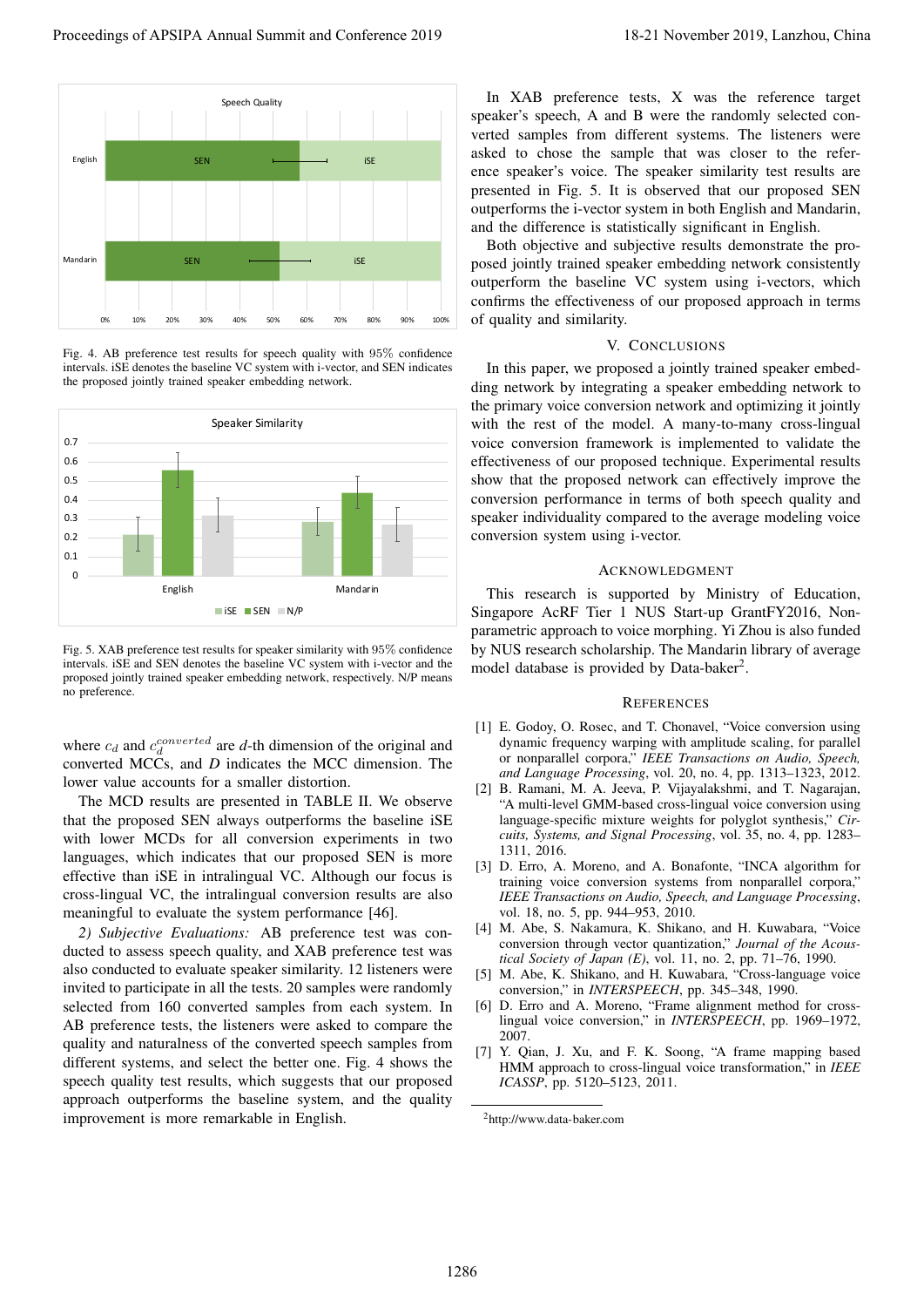

Fig. 4. AB preference test results for speech quality with 95% confidence intervals. iSE denotes the baseline VC system with i-vector, and SEN indicates the proposed jointly trained speaker embedding network.



Fig. 5. XAB preference test results for speaker similarity with 95% confidence intervals. iSE and SEN denotes the baseline VC system with i-vector and the proposed jointly trained speaker embedding network, respectively. N/P means no preference.

where  $c_d$  and  $c_d^{converted}$  are d-th dimension of the original and converted MCCs, and *D* indicates the MCC dimension. The lower value accounts for a smaller distortion.

The MCD results are presented in TABLE II. We observe that the proposed SEN always outperforms the baseline iSE with lower MCDs for all conversion experiments in two languages, which indicates that our proposed SEN is more effective than iSE in intralingual VC. Although our focus is cross-lingual VC, the intralingual conversion results are also meaningful to evaluate the system performance [46].

*2) Subjective Evaluations:* AB preference test was conducted to assess speech quality, and XAB preference test was also conducted to evaluate speaker similarity. 12 listeners were invited to participate in all the tests. 20 samples were randomly selected from 160 converted samples from each system. In AB preference tests, the listeners were asked to compare the quality and naturalness of the converted speech samples from different systems, and select the better one. Fig. 4 shows the speech quality test results, which suggests that our proposed approach outperforms the baseline system, and the quality improvement is more remarkable in English.

In XAB preference tests, X was the reference target speaker's speech, A and B were the randomly selected converted samples from different systems. The listeners were asked to chose the sample that was closer to the reference speaker's voice. The speaker similarity test results are presented in Fig. 5. It is observed that our proposed SEN outperforms the i-vector system in both English and Mandarin, and the difference is statistically significant in English.

Both objective and subjective results demonstrate the proposed jointly trained speaker embedding network consistently outperform the baseline VC system using i-vectors, which confirms the effectiveness of our proposed approach in terms of quality and similarity.

## V. CONCLUSIONS

In this paper, we proposed a jointly trained speaker embedding network by integrating a speaker embedding network to the primary voice conversion network and optimizing it jointly with the rest of the model. A many-to-many cross-lingual voice conversion framework is implemented to validate the effectiveness of our proposed technique. Experimental results show that the proposed network can effectively improve the conversion performance in terms of both speech quality and speaker individuality compared to the average modeling voice conversion system using i-vector.

# ACKNOWLEDGMENT

This research is supported by Ministry of Education, Singapore AcRF Tier 1 NUS Start-up GrantFY2016, Nonparametric approach to voice morphing. Yi Zhou is also funded by NUS research scholarship. The Mandarin library of average model database is provided by Data-baker<sup>2</sup>.

## **REFERENCES**

- [1] E. Godoy, O. Rosec, and T. Chonavel, "Voice conversion using dynamic frequency warping with amplitude scaling, for parallel or nonparallel corpora," *IEEE Transactions on Audio, Speech, and Language Processing*, vol. 20, no. 4, pp. 1313–1323, 2012.
- [2] B. Ramani, M. A. Jeeva, P. Vijayalakshmi, and T. Nagarajan, "A multi-level GMM-based cross-lingual voice conversion using language-specific mixture weights for polyglot synthesis," *Circuits, Systems, and Signal Processing*, vol. 35, no. 4, pp. 1283– 1311, 2016.
- [3] D. Erro, A. Moreno, and A. Bonafonte, "INCA algorithm for training voice conversion systems from nonparallel corpora," *IEEE Transactions on Audio, Speech, and Language Processing*, vol. 18, no. 5, pp. 944–953, 2010.
- [4] M. Abe, S. Nakamura, K. Shikano, and H. Kuwabara, "Voice conversion through vector quantization," *Journal of the Acoustical Society of Japan (E)*, vol. 11, no. 2, pp. 71–76, 1990.
- [5] M. Abe, K. Shikano, and H. Kuwabara, "Cross-language voice conversion," in *INTERSPEECH*, pp. 345–348, 1990.
- [6] D. Erro and A. Moreno, "Frame alignment method for crosslingual voice conversion," in *INTERSPEECH*, pp. 1969–1972, 2007.
- [7] Y. Qian, J. Xu, and F. K. Soong, "A frame mapping based HMM approach to cross-lingual voice transformation," in *IEEE ICASSP*, pp. 5120–5123, 2011.

<sup>2</sup>http://www.data-baker.com